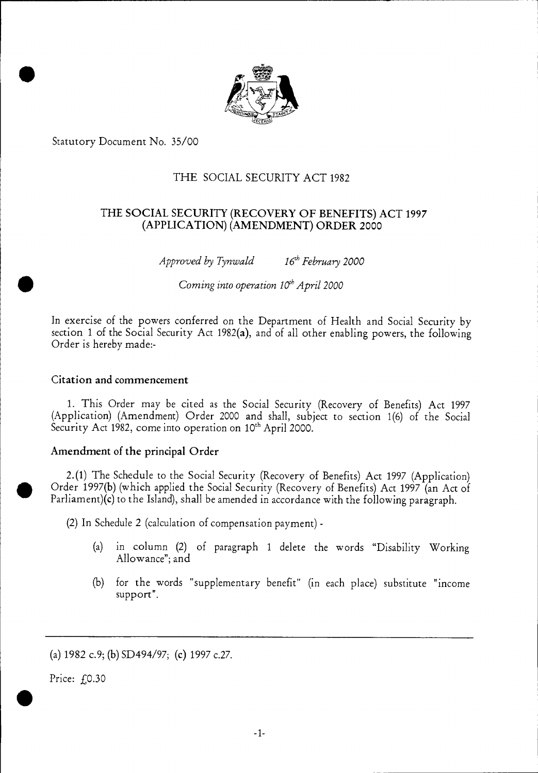

Statutory Document No. 35/00

•

# THE SOCIAL SECURITY ACT 1982

# THE SOCIAL SECURITY (RECOVERY OF BENEFITS) ACT 1997 (APPLICATION) (AMENDMENT) ORDER 2000

*Approved by Tynwald* 16<sup>th</sup> February 2000<br>Coming into operation 10<sup>th</sup> April 2000

In exercise of the powers conferred on the Department of Health and Social Security by section 1 of the Social Security Act 1982(a), and of all other enabling powers, the following Order is hereby made:-

### Citation and commencement

1. This Order may be cited as the Social Security (Recovery of Benefits) Act 1997 (Application) (Amendment) Order 2000 and shall, subject to section 1(6) of the Social Security Act 1982, come into operation on 10<sup>th</sup> April 2000.

## Amendment of the principal Order

2.(1) The Schedule to the Social Security (Recovery of Benefits) Act 1997 (Application) Order 1997(b) (which applied the Social Security (Recovery of Benefits) Act 1997 (an Act of Parliament)(c) to the Island), shall be amended in accordance with the following paragraph.

(2) In Schedule 2 (calculation of compensation payment) -

- (a) in column (2) of paragraph 1 delete the words "Disability Working Allowance"; and
- (b) for the words "supplementary benefit" (in each place) substitute "income support".

(a) 1982 c.9; (b) SD494/97; (c) 1997 c.27.

Price: £0.30

•